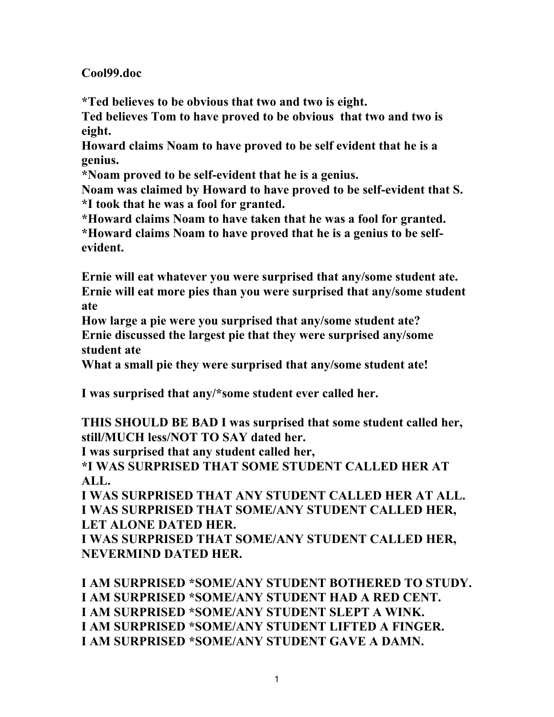**Cool99.doc**

**\*Ted believes to be obvious that two and two is eight.**

**Ted believes Tom to have proved to be obvious that two and two is eight.**

**Howard claims Noam to have proved to be self evident that he is a genius.**

**\*Noam proved to be self-evident that he is a genius.**

**Noam was claimed by Howard to have proved to be self-evident that S. \*I took that he was a fool for granted.**

**\*Howard claims Noam to have taken that he was a fool for granted. \*Howard claims Noam to have proved that he is a genius to be selfevident.**

**Ernie will eat whatever you were surprised that any/some student ate. Ernie will eat more pies than you were surprised that any/some student ate**

**How large a pie were you surprised that any/some student ate? Ernie discussed the largest pie that they were surprised any/some student ate**

**What a small pie they were surprised that any/some student ate!**

**I was surprised that any/\*some student ever called her.**

**THIS SHOULD BE BAD I was surprised that some student called her, still/MUCH less/NOT TO SAY dated her.**

**I was surprised that any student called her,** 

**\*I WAS SURPRISED THAT SOME STUDENT CALLED HER AT ALL.**

**I WAS SURPRISED THAT ANY STUDENT CALLED HER AT ALL. I WAS SURPRISED THAT SOME/ANY STUDENT CALLED HER, LET ALONE DATED HER.**

**I WAS SURPRISED THAT SOME/ANY STUDENT CALLED HER, NEVERMIND DATED HER.**

**I AM SURPRISED \*SOME/ANY STUDENT BOTHERED TO STUDY. I AM SURPRISED \*SOME/ANY STUDENT HAD A RED CENT. I AM SURPRISED \*SOME/ANY STUDENT SLEPT A WINK. I AM SURPRISED \*SOME/ANY STUDENT LIFTED A FINGER. I AM SURPRISED \*SOME/ANY STUDENT GAVE A DAMN.**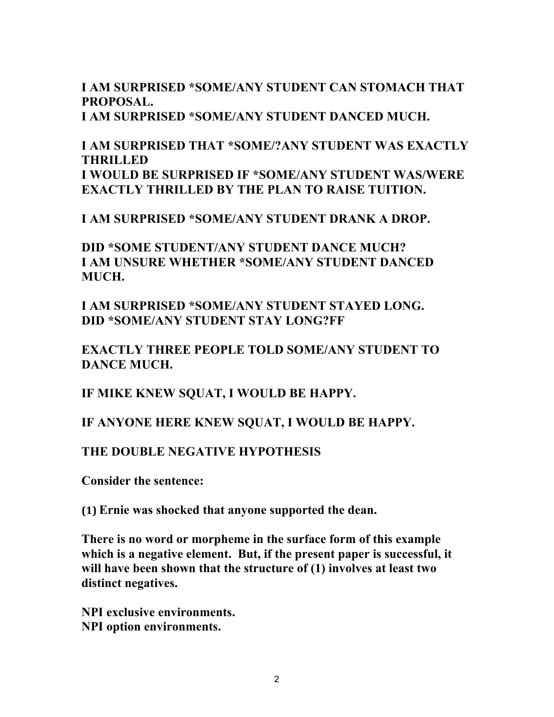### **I AM SURPRISED \*SOME/ANY STUDENT CAN STOMACH THAT PROPOSAL. I AM SURPRISED \*SOME/ANY STUDENT DANCED MUCH.**

# **I AM SURPRISED THAT \*SOME/?ANY STUDENT WAS EXACTLY THRILLED I WOULD BE SURPRISED IF \*SOME/ANY STUDENT WAS/WERE EXACTLY THRILLED BY THE PLAN TO RAISE TUITION.**

**I AM SURPRISED \*SOME/ANY STUDENT DRANK A DROP.**

**DID \*SOME STUDENT/ANY STUDENT DANCE MUCH? I AM UNSURE WHETHER \*SOME/ANY STUDENT DANCED MUCH.**

**I AM SURPRISED \*SOME/ANY STUDENT STAYED LONG. DID \*SOME/ANY STUDENT STAY LONG?FF**

**EXACTLY THREE PEOPLE TOLD SOME/ANY STUDENT TO DANCE MUCH.**

**IF MIKE KNEW SQUAT, I WOULD BE HAPPY.**

**IF ANYONE HERE KNEW SQUAT, I WOULD BE HAPPY.**

## **THE DOUBLE NEGATIVE HYPOTHESIS**

**Consider the sentence:**

**(1) Ernie was shocked that anyone supported the dean.**

**There is no word or morpheme in the surface form of this example which is a negative element. But, if the present paper is successful, it will have been shown that the structure of (1) involves at least two distinct negatives.**

**NPI exclusive environments. NPI option environments.**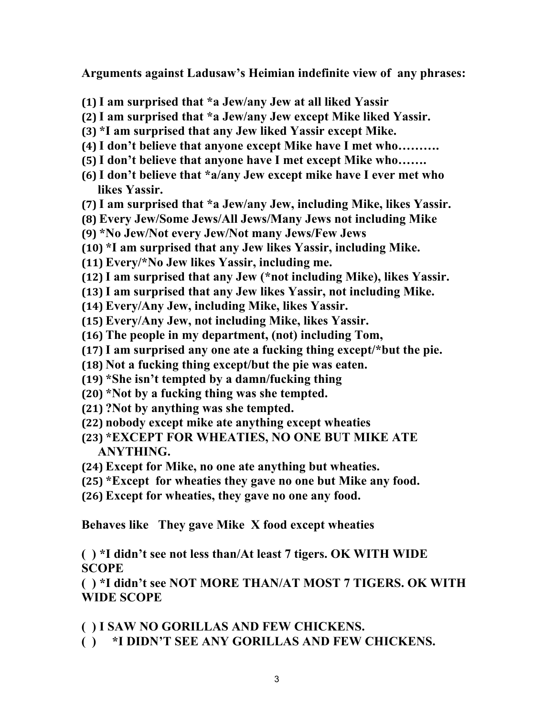**Arguments against Ladusaw's Heimian indefinite view of any phrases:**

- **(1) I am surprised that \*a Jew/any Jew at all liked Yassir**
- **(2) I am surprised that \*a Jew/any Jew except Mike liked Yassir.**
- **(3) \*I am surprised that any Jew liked Yassir except Mike.**
- **(4) I don't believe that anyone except Mike have I met who……….**
- **(5) I don't believe that anyone have I met except Mike who…….**
- **(6) I don't believe that \*a/any Jew except mike have I ever met who likes Yassir.**
- **(7) I am surprised that \*a Jew/any Jew, including Mike, likes Yassir.**
- **(8) Every Jew/Some Jews/All Jews/Many Jews not including Mike**
- **(9) \*No Jew/Not every Jew/Not many Jews/Few Jews**
- **(10) \*I am surprised that any Jew likes Yassir, including Mike.**
- **(11) Every/\*No Jew likes Yassir, including me.**
- **(12) I am surprised that any Jew (\*not including Mike), likes Yassir.**
- **(13) I am surprised that any Jew likes Yassir, not including Mike.**
- **(14) Every/Any Jew, including Mike, likes Yassir.**
- **(15) Every/Any Jew, not including Mike, likes Yassir.**
- **(16) The people in my department, (not) including Tom,**
- **(17) I am surprised any one ate a fucking thing except/\*but the pie.**
- **(18) Not a fucking thing except/but the pie was eaten.**
- **(19) \*She isn't tempted by a damn/fucking thing**
- **(20) \*Not by a fucking thing was she tempted.**
- **(21) ?Not by anything was she tempted.**
- **(22) nobody except mike ate anything except wheaties**
- **(23) \*EXCEPT FOR WHEATIES, NO ONE BUT MIKE ATE ANYTHING.**
- **(24) Except for Mike, no one ate anything but wheaties.**
- **(25) \*Except for wheaties they gave no one but Mike any food.**
- **(26) Except for wheaties, they gave no one any food.**

**Behaves like They gave Mike X food except wheaties**

**( ) \*I didn't see not less than/At least 7 tigers. OK WITH WIDE SCOPE**

**( ) \*I didn't see NOT MORE THAN/AT MOST 7 TIGERS. OK WITH WIDE SCOPE**

- **( ) I SAW NO GORILLAS AND FEW CHICKENS.**
- **( ) \*I DIDN'T SEE ANY GORILLAS AND FEW CHICKENS.**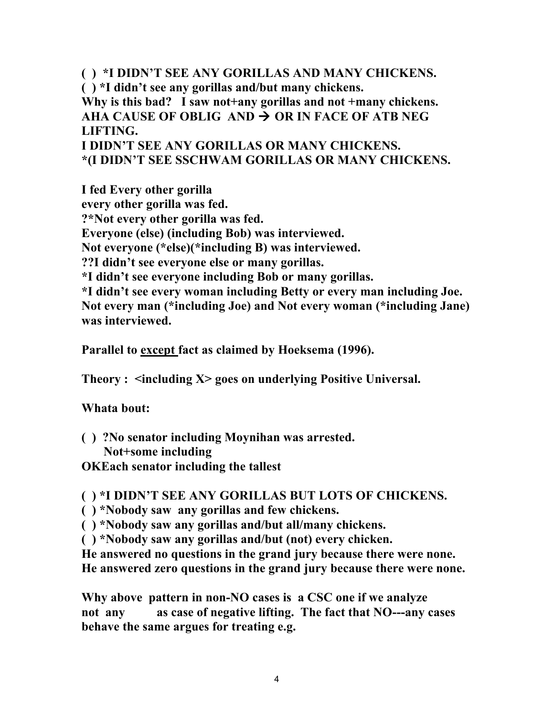**( ) \*I DIDN'T SEE ANY GORILLAS AND MANY CHICKENS. ( ) \*I didn't see any gorillas and/but many chickens. Why is this bad? I saw not+any gorillas and not +many chickens.** AHA CAUSE OF OBLIG AND  $\rightarrow$  OR IN FACE OF ATB NEG **LIFTING. I DIDN'T SEE ANY GORILLAS OR MANY CHICKENS. \*(I DIDN'T SEE SSCHWAM GORILLAS OR MANY CHICKENS.**

**I fed Every other gorilla every other gorilla was fed. ?\*Not every other gorilla was fed. Everyone (else) (including Bob) was interviewed. Not everyone (\*else)(\*including B) was interviewed. ??I didn't see everyone else or many gorillas. \*I didn't see everyone including Bob or many gorillas. \*I didn't see every woman including Betty or every man including Joe. Not every man (\*including Joe) and Not every woman (\*including Jane) was interviewed.**

**Parallel to except fact as claimed by Hoeksema (1996).**

**Theory : <including X> goes on underlying Positive Universal.**

## **Whata bout:**

- **( ) ?No senator including Moynihan was arrested. Not+some including**
- **OKEach senator including the tallest**

## **( ) \*I DIDN'T SEE ANY GORILLAS BUT LOTS OF CHICKENS.**

- **( ) \*Nobody saw any gorillas and few chickens.**
- **( ) \*Nobody saw any gorillas and/but all/many chickens.**
- **( ) \*Nobody saw any gorillas and/but (not) every chicken.**

**He answered no questions in the grand jury because there were none. He answered zero questions in the grand jury because there were none.**

**Why above pattern in non-NO cases is a CSC one if we analyze not any as case of negative lifting. The fact that NO---any cases behave the same argues for treating e.g.**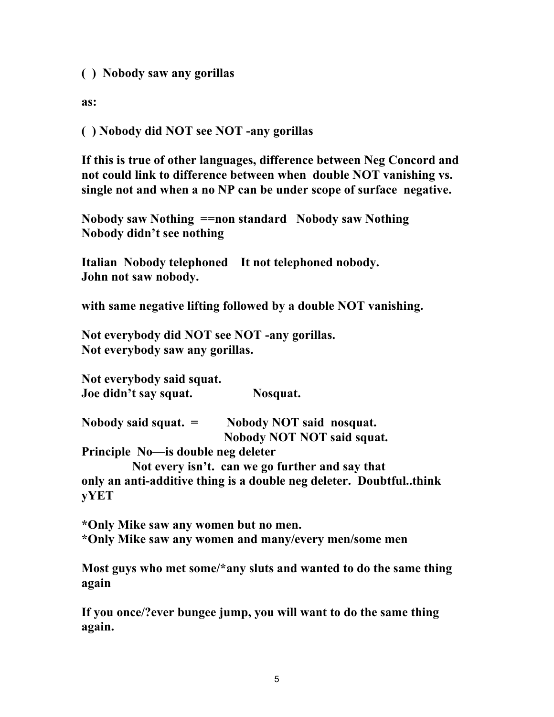**( ) Nobody saw any gorillas**

**as:**

**( ) Nobody did NOT see NOT -any gorillas**

**If this is true of other languages, difference between Neg Concord and not could link to difference between when double NOT vanishing vs. single not and when a no NP can be under scope of surface negative.**

**Nobody saw Nothing ==non standard Nobody saw Nothing Nobody didn't see nothing**

**Italian Nobody telephoned It not telephoned nobody. John not saw nobody.**

**with same negative lifting followed by a double NOT vanishing.**

**Not everybody did NOT see NOT -any gorillas. Not everybody saw any gorillas.**

**Not everybody said squat. Joe didn't say squat. Nosquat.**

**Nobody said squat. = Nobody NOT said nosquat. Nobody NOT NOT said squat.**

**Principle No—is double neg deleter**

 **Not every isn't. can we go further and say that only an anti-additive thing is a double neg deleter. Doubtful..think yYET**

**\*Only Mike saw any women but no men. \*Only Mike saw any women and many/every men/some men**

**Most guys who met some/\*any sluts and wanted to do the same thing again**

**If you once/?ever bungee jump, you will want to do the same thing again.**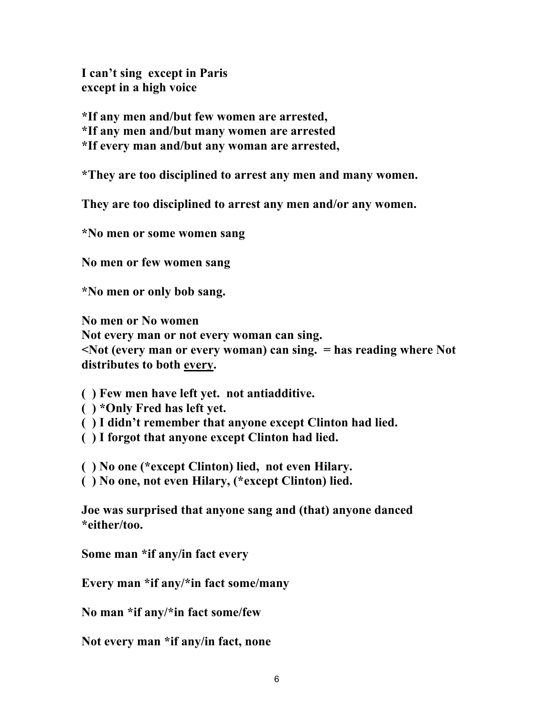**I can't sing except in Paris except in a high voice**

**\*If any men and/but few women are arrested,**

**\*If any men and/but many women are arrested**

**\*If every man and/but any woman are arrested,** 

**\*They are too disciplined to arrest any men and many women.**

**They are too disciplined to arrest any men and/or any women.**

**\*No men or some women sang**

**No men or few women sang**

**\*No men or only bob sang.**

**No men or No women Not every man or not every woman can sing.**

**<Not (every man or every woman) can sing. = has reading where Not distributes to both every.**

**( ) Few men have left yet. not antiadditive.**

- **( ) \*Only Fred has left yet.**
- **( ) I didn't remember that anyone except Clinton had lied.**
- **( ) I forgot that anyone except Clinton had lied.**

**( ) No one (\*except Clinton) lied, not even Hilary.**

**( ) No one, not even Hilary, (\*except Clinton) lied.**

**Joe was surprised that anyone sang and (that) anyone danced \*either/too.**

**Some man \*if any/in fact every**

**Every man \*if any/\*in fact some/many**

**No man \*if any/\*in fact some/few**

**Not every man \*if any/in fact, none**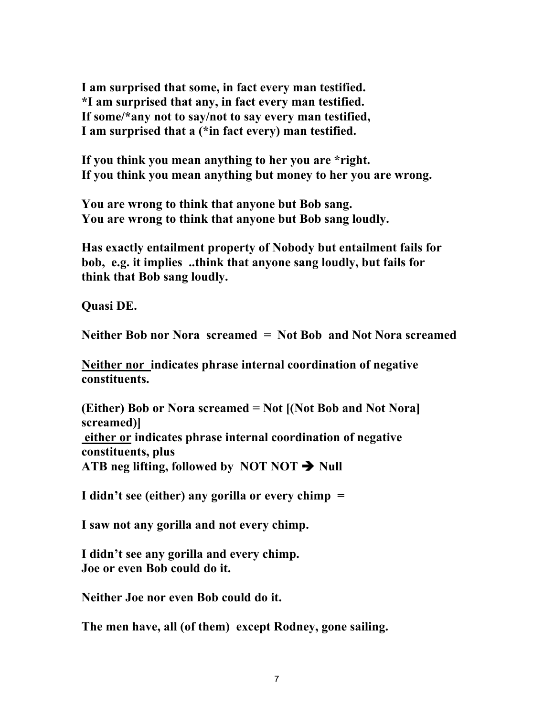**I am surprised that some, in fact every man testified. \*I am surprised that any, in fact every man testified. If some/\*any not to say/not to say every man testified, I am surprised that a (\*in fact every) man testified.**

**If you think you mean anything to her you are \*right. If you think you mean anything but money to her you are wrong.**

**You are wrong to think that anyone but Bob sang. You are wrong to think that anyone but Bob sang loudly.**

**Has exactly entailment property of Nobody but entailment fails for bob, e.g. it implies ..think that anyone sang loudly, but fails for think that Bob sang loudly.**

**Quasi DE.** 

**Neither Bob nor Nora screamed = Not Bob and Not Nora screamed**

**Neither nor indicates phrase internal coordination of negative constituents.**

**(Either) Bob or Nora screamed = Not [(Not Bob and Not Nora] screamed)] either or indicates phrase internal coordination of negative constituents, plus** ATB neg lifting, followed by NOT NOT  $\rightarrow$  Null

**I didn't see (either) any gorilla or every chimp =**

**I saw not any gorilla and not every chimp.**

**I didn't see any gorilla and every chimp. Joe or even Bob could do it.**

**Neither Joe nor even Bob could do it.**

**The men have, all (of them) except Rodney, gone sailing.**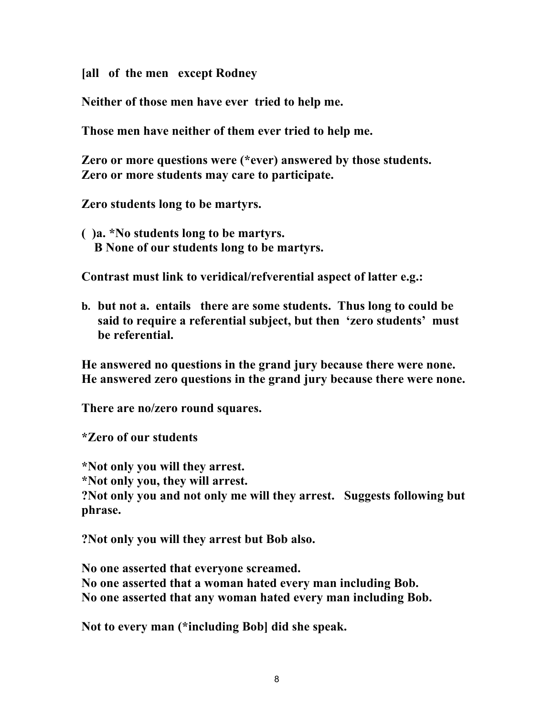**[all of the men except Rodney**

**Neither of those men have ever tried to help me.**

**Those men have neither of them ever tried to help me.**

**Zero or more questions were (\*ever) answered by those students. Zero or more students may care to participate.**

**Zero students long to be martyrs.**

**( )a. \*No students long to be martyrs. B None of our students long to be martyrs.**

**Contrast must link to veridical/refverential aspect of latter e.g.:**

**b. but not a. entails there are some students. Thus long to could be said to require a referential subject, but then 'zero students' must be referential.**

**He answered no questions in the grand jury because there were none. He answered zero questions in the grand jury because there were none.**

**There are no/zero round squares.**

**\*Zero of our students**

**\*Not only you will they arrest. \*Not only you, they will arrest.**

**?Not only you and not only me will they arrest. Suggests following but phrase.**

**?Not only you will they arrest but Bob also.**

**No one asserted that everyone screamed. No one asserted that a woman hated every man including Bob. No one asserted that any woman hated every man including Bob.**

**Not to every man (\*including Bob] did she speak.**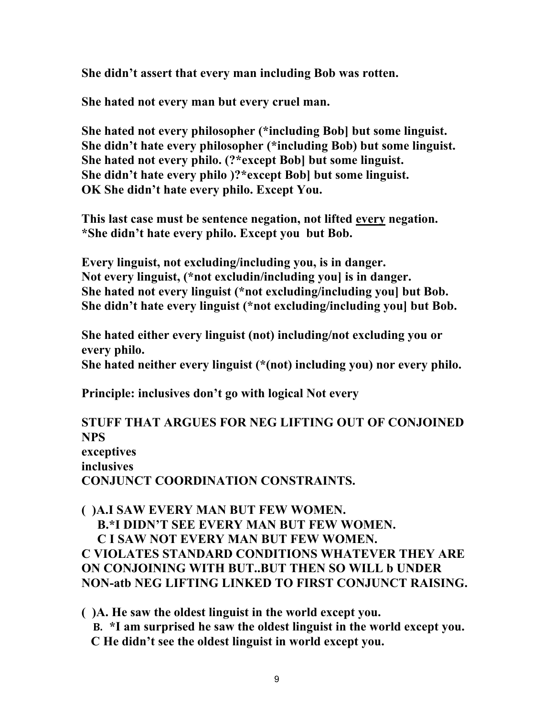**She didn't assert that every man including Bob was rotten.**

**She hated not every man but every cruel man.**

**She hated not every philosopher (\*including Bob] but some linguist. She didn't hate every philosopher (\*including Bob) but some linguist. She hated not every philo. (?\*except Bob] but some linguist. She didn't hate every philo )?\*except Bob] but some linguist. OK She didn't hate every philo. Except You.**

**This last case must be sentence negation, not lifted every negation. \*She didn't hate every philo. Except you but Bob.**

**Every linguist, not excluding/including you, is in danger. Not every linguist, (\*not excludin/including you] is in danger. She hated not every linguist (\*not excluding/including you] but Bob. She didn't hate every linguist (\*not excluding/including you] but Bob.**

**She hated either every linguist (not) including/not excluding you or every philo.**

**She hated neither every linguist (\*(not) including you) nor every philo.**

**Principle: inclusives don't go with logical Not every**

**STUFF THAT ARGUES FOR NEG LIFTING OUT OF CONJOINED NPS exceptives inclusives CONJUNCT COORDINATION CONSTRAINTS.**

**( )A.I SAW EVERY MAN BUT FEW WOMEN. B.\*I DIDN'T SEE EVERY MAN BUT FEW WOMEN. C I SAW NOT EVERY MAN BUT FEW WOMEN. C VIOLATES STANDARD CONDITIONS WHATEVER THEY ARE ON CONJOINING WITH BUT..BUT THEN SO WILL b UNDER NON-atb NEG LIFTING LINKED TO FIRST CONJUNCT RAISING.**

**( )A. He saw the oldest linguist in the world except you. B. \*I am surprised he saw the oldest linguist in the world except you. C He didn't see the oldest linguist in world except you.**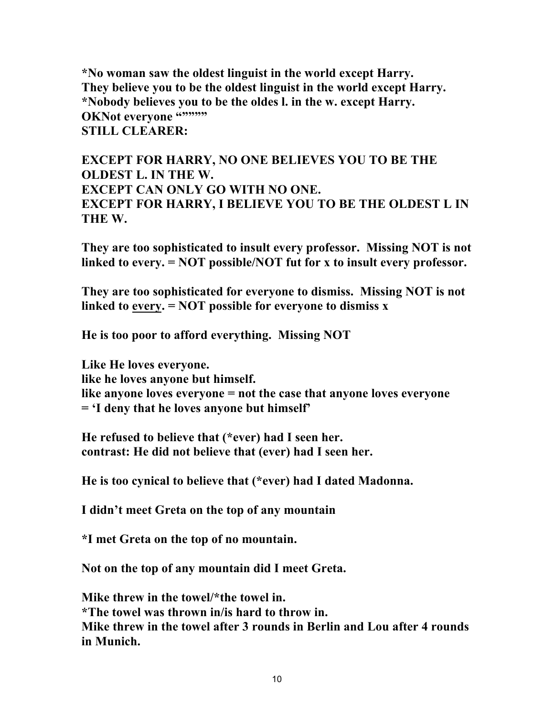**\*No woman saw the oldest linguist in the world except Harry. They believe you to be the oldest linguist in the world except Harry. \*Nobody believes you to be the oldes l. in the w. except Harry. OKNot everyone """"" STILL CLEARER:**

**EXCEPT FOR HARRY, NO ONE BELIEVES YOU TO BE THE OLDEST L. IN THE W. EXCEPT CAN ONLY GO WITH NO ONE. EXCEPT FOR HARRY, I BELIEVE YOU TO BE THE OLDEST L IN THE W.**

**They are too sophisticated to insult every professor. Missing NOT is not linked to every. = NOT possible/NOT fut for x to insult every professor.**

**They are too sophisticated for everyone to dismiss. Missing NOT is not linked to every. = NOT possible for everyone to dismiss x**

**He is too poor to afford everything. Missing NOT** 

**Like He loves everyone.**

**like he loves anyone but himself.**

**like anyone loves everyone = not the case that anyone loves everyone = 'I deny that he loves anyone but himself'**

**He refused to believe that (\*ever) had I seen her. contrast: He did not believe that (ever) had I seen her.**

**He is too cynical to believe that (\*ever) had I dated Madonna.**

**I didn't meet Greta on the top of any mountain**

**\*I met Greta on the top of no mountain.**

**Not on the top of any mountain did I meet Greta.**

**Mike threw in the towel/\*the towel in. \*The towel was thrown in/is hard to throw in. Mike threw in the towel after 3 rounds in Berlin and Lou after 4 rounds in Munich.**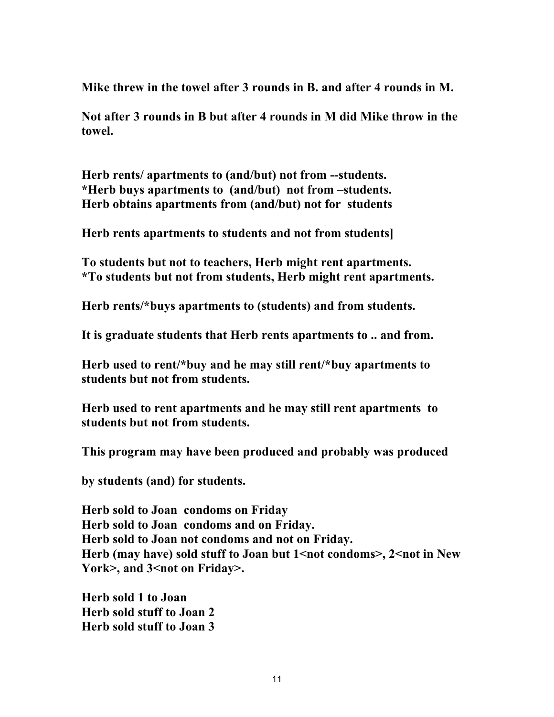**Mike threw in the towel after 3 rounds in B. and after 4 rounds in M.**

**Not after 3 rounds in B but after 4 rounds in M did Mike throw in the towel.**

**Herb rents/ apartments to (and/but) not from --students. \*Herb buys apartments to (and/but) not from –students. Herb obtains apartments from (and/but) not for students**

**Herb rents apartments to students and not from students]**

**To students but not to teachers, Herb might rent apartments. \*To students but not from students, Herb might rent apartments.**

**Herb rents/\*buys apartments to (students) and from students.**

**It is graduate students that Herb rents apartments to .. and from.**

**Herb used to rent/\*buy and he may still rent/\*buy apartments to students but not from students.**

**Herb used to rent apartments and he may still rent apartments to students but not from students.**

**This program may have been produced and probably was produced**

**by students (and) for students.**

**Herb sold to Joan condoms on Friday Herb sold to Joan condoms and on Friday. Herb sold to Joan not condoms and not on Friday. Herb (may have) sold stuff to Joan but 1<not condoms>, 2<not in New**  York>, and 3<not on Friday>.

**Herb sold 1 to Joan Herb sold stuff to Joan 2 Herb sold stuff to Joan 3**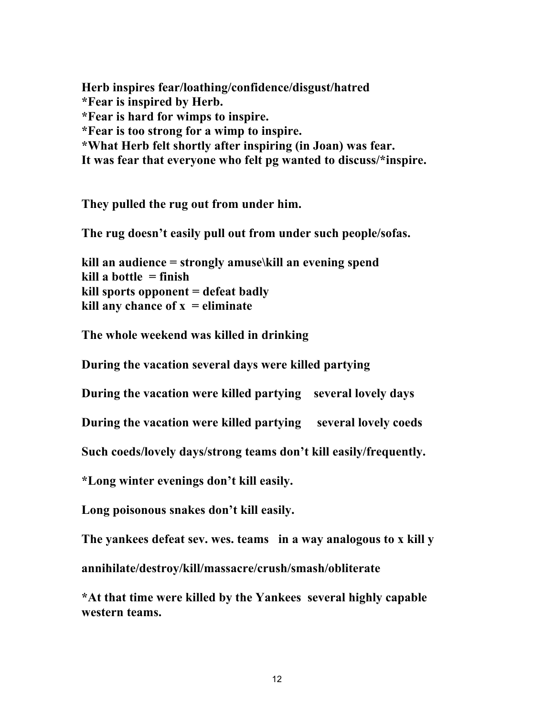**Herb inspires fear/loathing/confidence/disgust/hatred \*Fear is inspired by Herb. \*Fear is hard for wimps to inspire. \*Fear is too strong for a wimp to inspire. \*What Herb felt shortly after inspiring (in Joan) was fear. It was fear that everyone who felt pg wanted to discuss/\*inspire.**

**They pulled the rug out from under him.**

**The rug doesn't easily pull out from under such people/sofas.**

**kill an audience = strongly amuse\kill an evening spend kill a bottle = finish kill sports opponent = defeat badly kill any chance of**  $x =$  **eliminate** 

**The whole weekend was killed in drinking**

**During the vacation several days were killed partying** 

**During the vacation were killed partying several lovely days**

**During the vacation were killed partying several lovely coeds**

**Such coeds/lovely days/strong teams don't kill easily/frequently.**

**\*Long winter evenings don't kill easily.**

**Long poisonous snakes don't kill easily.**

**The yankees defeat sev. wes. teams in a way analogous to x kill y**

**annihilate/destroy/kill/massacre/crush/smash/obliterate**

**\*At that time were killed by the Yankees several highly capable western teams.**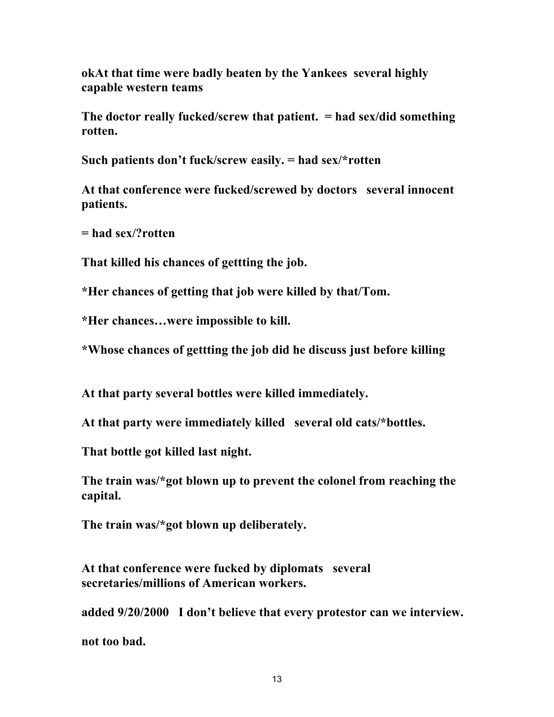**okAt that time were badly beaten by the Yankees several highly capable western teams**

**The doctor really fucked/screw that patient. = had sex/did something rotten.**

**Such patients don't fuck/screw easily. = had sex/\*rotten**

**At that conference were fucked/screwed by doctors several innocent patients.**

**= had sex/?rotten**

**That killed his chances of gettting the job.**

**\*Her chances of getting that job were killed by that/Tom.**

**\*Her chances…were impossible to kill.**

**\*Whose chances of gettting the job did he discuss just before killing**

**At that party several bottles were killed immediately.**

**At that party were immediately killed several old cats/\*bottles.**

**That bottle got killed last night.**

**The train was/\*got blown up to prevent the colonel from reaching the capital.**

**The train was/\*got blown up deliberately.**

**At that conference were fucked by diplomats several secretaries/millions of American workers.**

**added 9/20/2000 I don't believe that every protestor can we interview.**

**not too bad.**